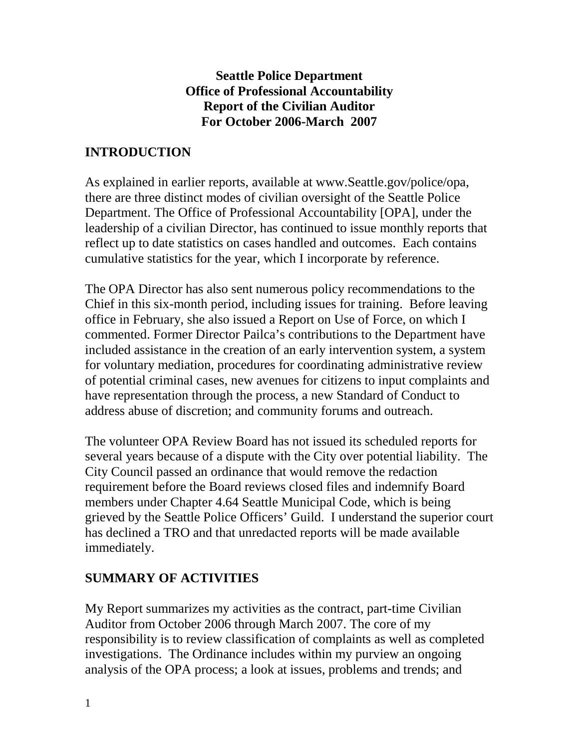### **Seattle Police Department Office of Professional Accountability Report of the Civilian Auditor For October 2006-March 2007**

# **INTRODUCTION**

As explained in earlier reports, available at www.Seattle.gov/police/opa, there are three distinct modes of civilian oversight of the Seattle Police Department. The Office of Professional Accountability [OPA], under the leadership of a civilian Director, has continued to issue monthly reports that reflect up to date statistics on cases handled and outcomes. Each contains cumulative statistics for the year, which I incorporate by reference.

The OPA Director has also sent numerous policy recommendations to the Chief in this six-month period, including issues for training. Before leaving office in February, she also issued a Report on Use of Force, on which I commented. Former Director Pailca's contributions to the Department have included assistance in the creation of an early intervention system, a system for voluntary mediation, procedures for coordinating administrative review of potential criminal cases, new avenues for citizens to input complaints and have representation through the process, a new Standard of Conduct to address abuse of discretion; and community forums and outreach.

The volunteer OPA Review Board has not issued its scheduled reports for several years because of a dispute with the City over potential liability. The City Council passed an ordinance that would remove the redaction requirement before the Board reviews closed files and indemnify Board members under Chapter 4.64 Seattle Municipal Code, which is being grieved by the Seattle Police Officers' Guild. I understand the superior court has declined a TRO and that unredacted reports will be made available immediately.

## **SUMMARY OF ACTIVITIES**

My Report summarizes my activities as the contract, part-time Civilian Auditor from October 2006 through March 2007. The core of my responsibility is to review classification of complaints as well as completed investigations. The Ordinance includes within my purview an ongoing analysis of the OPA process; a look at issues, problems and trends; and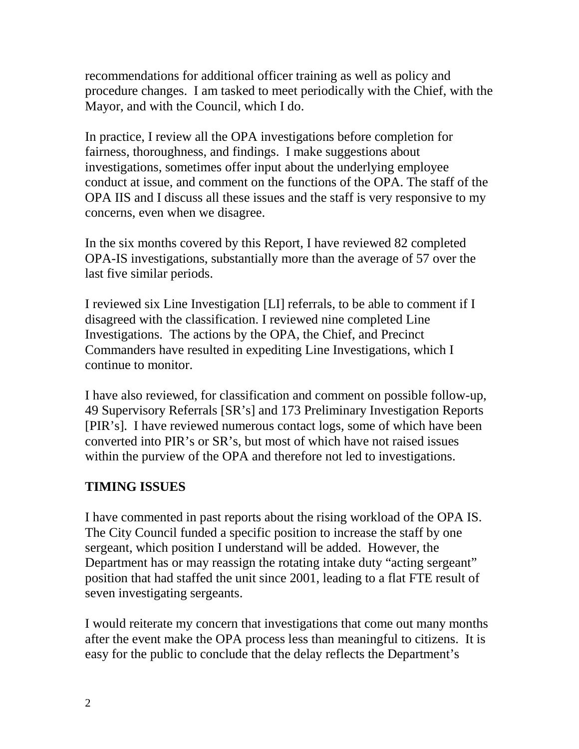recommendations for additional officer training as well as policy and procedure changes. I am tasked to meet periodically with the Chief, with the Mayor, and with the Council, which I do.

In practice, I review all the OPA investigations before completion for fairness, thoroughness, and findings. I make suggestions about investigations, sometimes offer input about the underlying employee conduct at issue, and comment on the functions of the OPA. The staff of the OPA IIS and I discuss all these issues and the staff is very responsive to my concerns, even when we disagree.

In the six months covered by this Report, I have reviewed 82 completed OPA-IS investigations, substantially more than the average of 57 over the last five similar periods.

I reviewed six Line Investigation [LI] referrals, to be able to comment if I disagreed with the classification. I reviewed nine completed Line Investigations. The actions by the OPA, the Chief, and Precinct Commanders have resulted in expediting Line Investigations, which I continue to monitor.

I have also reviewed, for classification and comment on possible follow-up, 49 Supervisory Referrals [SR's] and 173 Preliminary Investigation Reports [PIR's]. I have reviewed numerous contact logs, some of which have been converted into PIR's or SR's, but most of which have not raised issues within the purview of the OPA and therefore not led to investigations.

## **TIMING ISSUES**

I have commented in past reports about the rising workload of the OPA IS. The City Council funded a specific position to increase the staff by one sergeant, which position I understand will be added. However, the Department has or may reassign the rotating intake duty "acting sergeant" position that had staffed the unit since 2001, leading to a flat FTE result of seven investigating sergeants.

I would reiterate my concern that investigations that come out many months after the event make the OPA process less than meaningful to citizens. It is easy for the public to conclude that the delay reflects the Department's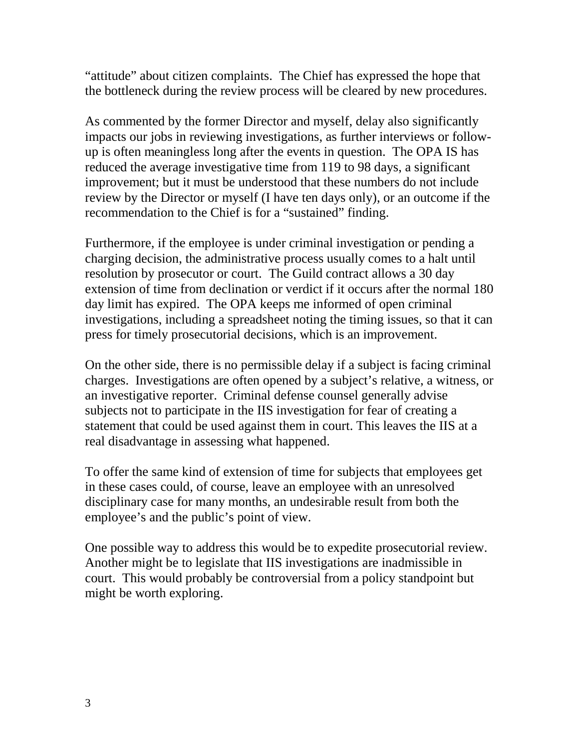"attitude" about citizen complaints. The Chief has expressed the hope that the bottleneck during the review process will be cleared by new procedures.

As commented by the former Director and myself, delay also significantly impacts our jobs in reviewing investigations, as further interviews or followup is often meaningless long after the events in question. The OPA IS has reduced the average investigative time from 119 to 98 days, a significant improvement; but it must be understood that these numbers do not include review by the Director or myself (I have ten days only), or an outcome if the recommendation to the Chief is for a "sustained" finding.

Furthermore, if the employee is under criminal investigation or pending a charging decision, the administrative process usually comes to a halt until resolution by prosecutor or court. The Guild contract allows a 30 day extension of time from declination or verdict if it occurs after the normal 180 day limit has expired. The OPA keeps me informed of open criminal investigations, including a spreadsheet noting the timing issues, so that it can press for timely prosecutorial decisions, which is an improvement.

On the other side, there is no permissible delay if a subject is facing criminal charges. Investigations are often opened by a subject's relative, a witness, or an investigative reporter. Criminal defense counsel generally advise subjects not to participate in the IIS investigation for fear of creating a statement that could be used against them in court. This leaves the IIS at a real disadvantage in assessing what happened.

To offer the same kind of extension of time for subjects that employees get in these cases could, of course, leave an employee with an unresolved disciplinary case for many months, an undesirable result from both the employee's and the public's point of view.

One possible way to address this would be to expedite prosecutorial review. Another might be to legislate that IIS investigations are inadmissible in court. This would probably be controversial from a policy standpoint but might be worth exploring.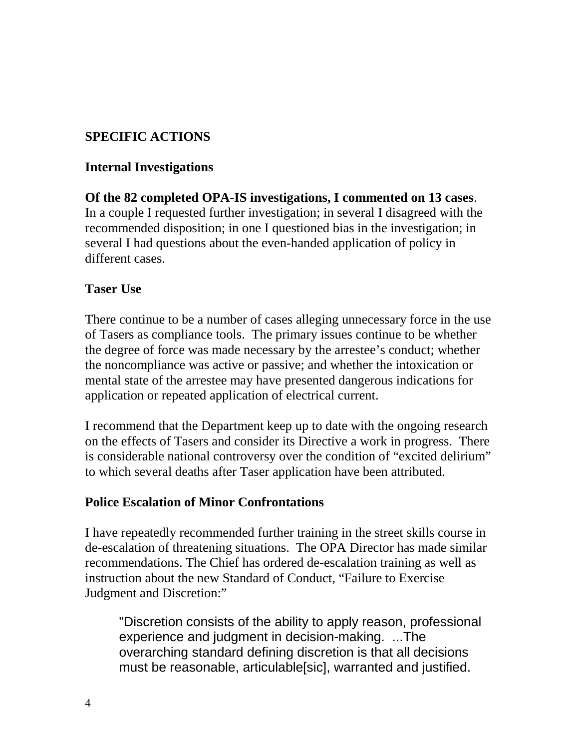## **SPECIFIC ACTIONS**

#### **Internal Investigations**

**Of the 82 completed OPA-IS investigations, I commented on 13 cases**. In a couple I requested further investigation; in several I disagreed with the recommended disposition; in one I questioned bias in the investigation; in several I had questions about the even-handed application of policy in different cases.

#### **Taser Use**

There continue to be a number of cases alleging unnecessary force in the use of Tasers as compliance tools. The primary issues continue to be whether the degree of force was made necessary by the arrestee's conduct; whether the noncompliance was active or passive; and whether the intoxication or mental state of the arrestee may have presented dangerous indications for application or repeated application of electrical current.

I recommend that the Department keep up to date with the ongoing research on the effects of Tasers and consider its Directive a work in progress. There is considerable national controversy over the condition of "excited delirium" to which several deaths after Taser application have been attributed.

#### **Police Escalation of Minor Confrontations**

I have repeatedly recommended further training in the street skills course in de-escalation of threatening situations. The OPA Director has made similar recommendations. The Chief has ordered de-escalation training as well as instruction about the new Standard of Conduct, "Failure to Exercise Judgment and Discretion:"

"Discretion consists of the ability to apply reason, professional experience and judgment in decision-making. ...The overarching standard defining discretion is that all decisions must be reasonable, articulable[sic], warranted and justified.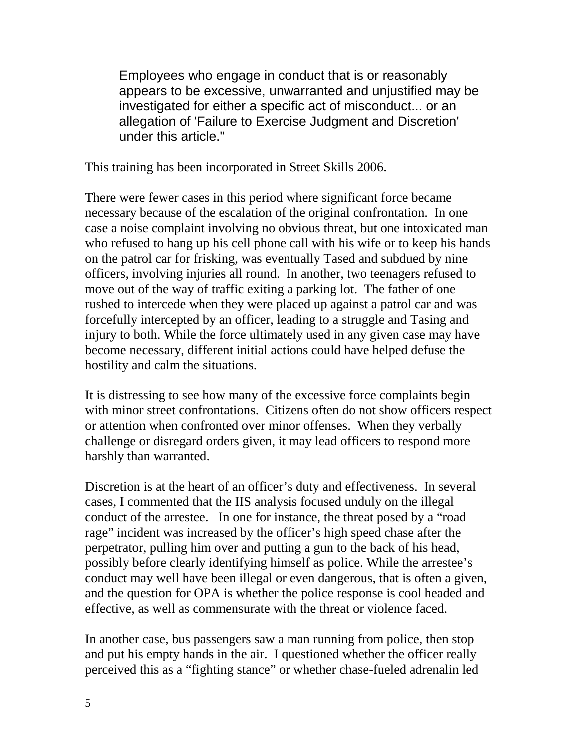Employees who engage in conduct that is or reasonably appears to be excessive, unwarranted and unjustified may be investigated for either a specific act of misconduct... or an allegation of 'Failure to Exercise Judgment and Discretion' under this article."

This training has been incorporated in Street Skills 2006.

There were fewer cases in this period where significant force became necessary because of the escalation of the original confrontation. In one case a noise complaint involving no obvious threat, but one intoxicated man who refused to hang up his cell phone call with his wife or to keep his hands on the patrol car for frisking, was eventually Tased and subdued by nine officers, involving injuries all round. In another, two teenagers refused to move out of the way of traffic exiting a parking lot. The father of one rushed to intercede when they were placed up against a patrol car and was forcefully intercepted by an officer, leading to a struggle and Tasing and injury to both. While the force ultimately used in any given case may have become necessary, different initial actions could have helped defuse the hostility and calm the situations.

It is distressing to see how many of the excessive force complaints begin with minor street confrontations. Citizens often do not show officers respect or attention when confronted over minor offenses. When they verbally challenge or disregard orders given, it may lead officers to respond more harshly than warranted.

Discretion is at the heart of an officer's duty and effectiveness. In several cases, I commented that the IIS analysis focused unduly on the illegal conduct of the arrestee. In one for instance, the threat posed by a "road rage" incident was increased by the officer's high speed chase after the perpetrator, pulling him over and putting a gun to the back of his head, possibly before clearly identifying himself as police. While the arrestee's conduct may well have been illegal or even dangerous, that is often a given, and the question for OPA is whether the police response is cool headed and effective, as well as commensurate with the threat or violence faced.

In another case, bus passengers saw a man running from police, then stop and put his empty hands in the air. I questioned whether the officer really perceived this as a "fighting stance" or whether chase-fueled adrenalin led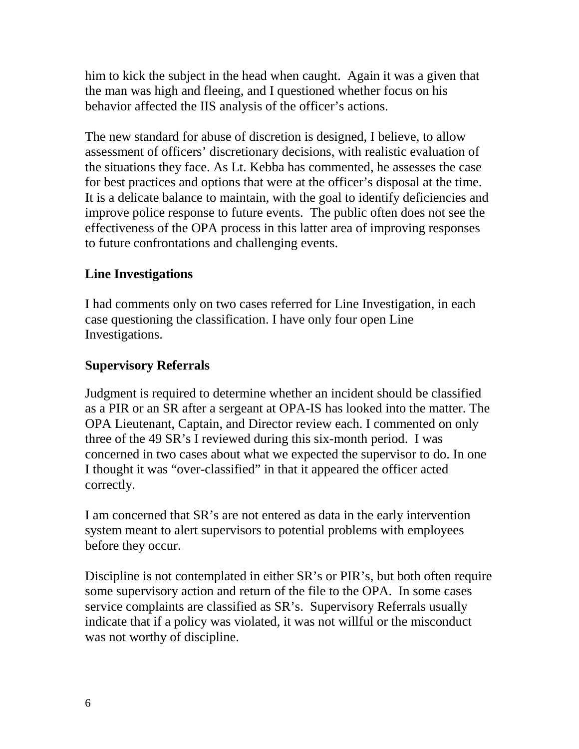him to kick the subject in the head when caught. Again it was a given that the man was high and fleeing, and I questioned whether focus on his behavior affected the IIS analysis of the officer's actions.

The new standard for abuse of discretion is designed, I believe, to allow assessment of officers' discretionary decisions, with realistic evaluation of the situations they face. As Lt. Kebba has commented, he assesses the case for best practices and options that were at the officer's disposal at the time. It is a delicate balance to maintain, with the goal to identify deficiencies and improve police response to future events. The public often does not see the effectiveness of the OPA process in this latter area of improving responses to future confrontations and challenging events.

## **Line Investigations**

I had comments only on two cases referred for Line Investigation, in each case questioning the classification. I have only four open Line Investigations.

### **Supervisory Referrals**

Judgment is required to determine whether an incident should be classified as a PIR or an SR after a sergeant at OPA-IS has looked into the matter. The OPA Lieutenant, Captain, and Director review each. I commented on only three of the 49 SR's I reviewed during this six-month period. I was concerned in two cases about what we expected the supervisor to do. In one I thought it was "over-classified" in that it appeared the officer acted correctly.

I am concerned that SR's are not entered as data in the early intervention system meant to alert supervisors to potential problems with employees before they occur.

Discipline is not contemplated in either SR's or PIR's, but both often require some supervisory action and return of the file to the OPA. In some cases service complaints are classified as SR's. Supervisory Referrals usually indicate that if a policy was violated, it was not willful or the misconduct was not worthy of discipline.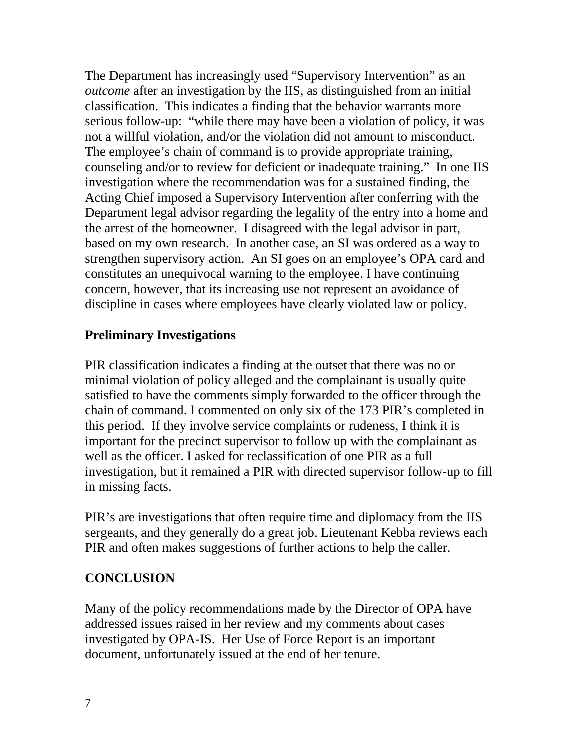The Department has increasingly used "Supervisory Intervention" as an *outcome* after an investigation by the IIS, as distinguished from an initial classification. This indicates a finding that the behavior warrants more serious follow-up: "while there may have been a violation of policy, it was not a willful violation, and/or the violation did not amount to misconduct. The employee's chain of command is to provide appropriate training, counseling and/or to review for deficient or inadequate training." In one IIS investigation where the recommendation was for a sustained finding, the Acting Chief imposed a Supervisory Intervention after conferring with the Department legal advisor regarding the legality of the entry into a home and the arrest of the homeowner. I disagreed with the legal advisor in part, based on my own research. In another case, an SI was ordered as a way to strengthen supervisory action. An SI goes on an employee's OPA card and constitutes an unequivocal warning to the employee. I have continuing concern, however, that its increasing use not represent an avoidance of discipline in cases where employees have clearly violated law or policy.

### **Preliminary Investigations**

PIR classification indicates a finding at the outset that there was no or minimal violation of policy alleged and the complainant is usually quite satisfied to have the comments simply forwarded to the officer through the chain of command. I commented on only six of the 173 PIR's completed in this period. If they involve service complaints or rudeness, I think it is important for the precinct supervisor to follow up with the complainant as well as the officer. I asked for reclassification of one PIR as a full investigation, but it remained a PIR with directed supervisor follow-up to fill in missing facts.

PIR's are investigations that often require time and diplomacy from the IIS sergeants, and they generally do a great job. Lieutenant Kebba reviews each PIR and often makes suggestions of further actions to help the caller.

#### **CONCLUSION**

Many of the policy recommendations made by the Director of OPA have addressed issues raised in her review and my comments about cases investigated by OPA-IS. Her Use of Force Report is an important document, unfortunately issued at the end of her tenure.